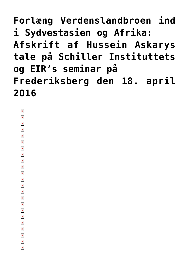**[Forlæng Verdenslandbroen ind](https://schillerinstitut.dk/si/2016/04/forlaeng-verdenslandbroen-sydvestasien-afrikahussein-askarys-tale-paa-schiller-instituttets-eirs-seminar-paa/) [i Sydvestasien og Afrika:](https://schillerinstitut.dk/si/2016/04/forlaeng-verdenslandbroen-sydvestasien-afrikahussein-askarys-tale-paa-schiller-instituttets-eirs-seminar-paa/) [Afskrift af Hussein Askarys](https://schillerinstitut.dk/si/2016/04/forlaeng-verdenslandbroen-sydvestasien-afrikahussein-askarys-tale-paa-schiller-instituttets-eirs-seminar-paa/) [tale på Schiller Instituttets](https://schillerinstitut.dk/si/2016/04/forlaeng-verdenslandbroen-sydvestasien-afrikahussein-askarys-tale-paa-schiller-instituttets-eirs-seminar-paa/) [og EIR's seminar på](https://schillerinstitut.dk/si/2016/04/forlaeng-verdenslandbroen-sydvestasien-afrikahussein-askarys-tale-paa-schiller-instituttets-eirs-seminar-paa/) [Frederiksberg den 18. april](https://schillerinstitut.dk/si/2016/04/forlaeng-verdenslandbroen-sydvestasien-afrikahussein-askarys-tale-paa-schiller-instituttets-eirs-seminar-paa/) [2016](https://schillerinstitut.dk/si/2016/04/forlaeng-verdenslandbroen-sydvestasien-afrikahussein-askarys-tale-paa-schiller-instituttets-eirs-seminar-paa/)**

 $\pmb{\times}$  $\pmb{\times}$  $\pmb{\times}$  $\pmb{\times}$  $\pmb{\times}$  $\pmb{\times}$  $\pmb{\times}$  $\pmb{\times}$  $\pmb{\times}$  $\pmb{\times}$  $\pmb{\times}$  $\pmb{\times}$  $\pmb{\times}$  $\pmb{\times}$  $\pmb{\times}$  $\pmb{\times}$  $\pmb{\times}$  $\pmb{\times}$  $\pmb{\times}$  $\pmb{\times}$  $\pmb{\times}$  $\pmb{\times}$ 

 $\pmb{\times}$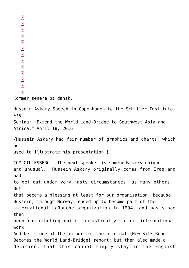$\pmb{\times}$  $\pmb{\times}$  $\pmb{\times}$  $\pmb{\times}$  $\pmb{\times}$  $\pmb{\times}$  $\pmb{\times}$  $\pmb{\times}$  $\pmb{\times}$  $\pmb{\times}$  $\pmb{\times}$  $\pmb{\times}$  $\pmb{\times}$ Kommer senere på dansk. Hussein Askary Speech in Copenhagen to the Schiller Institute-*EIR* Seminar "Extend the World Land-Bridge to Southwest Asia and Africa," April 18, 2016 {Hussein Askary had fair number of graphics and charts, which he used to illustrate his presentation.} TOM GILLESBERG: The next speaker is somebody very unique and unusual, Hussein Askary originally comes from Iraq and had to get out under very nasty circumstances, as many others. But that became a blessing at least for our organization, because Hussein, through Norway, ended up to become part of the international LaRouche organization in 1994, and has since then been contributing quite fantastically to our international work. And he is one of the authors of the original {New Silk Road Becomes the World Land-Bridge} report; but then also made a decision, that this cannot simply stay in the English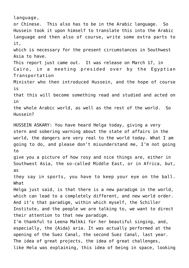language, or Chinese. This also has to be in the Arabic language. So Hussein took it upon himself to translate this into the Arabic language and then also of course, write some extra parts to it, which is necessary for the present circumstances in Southwest Asia to have. This report just came out. It was release on March 17, in Cairo, in a meeting presided over by the Egyptian Transportation Minister who then introduced Hussein, and the hope of course is that this will become something read and studied and acted on in the whole Arabic world, as well as the rest of the world. So Hussein? HUSSEIN ASKARY: You have heard Helga today, giving a very stern and sobering warning about the state of affairs in the world, the dangers are very real to the world today. What I am going to do, and please don't misunderstand me, I'm not going to give you a picture of how rosy and nice things are, either in Southwest Asia, the so-called Middle East, or in Africa, but, as they say in sports, you have to keep your eye on the ball. What Helga just said, is that there is a new paradigm in the world, which can lead to a completely different, and new world order. And it's that paradigm, within which myself, the Schiller Institute, and the people we are talking to, we want to direct their attention to that new paradigm. I'm thankful to Leena Malkki for her beautiful singing, and, especially, the {Aida} aria. It was actually performed at the opening of the Suez Canal, the second Suez Canal, last year. The idea of great projects, the idea of great challenges, like Hela was explaining, this idea of being in space, looking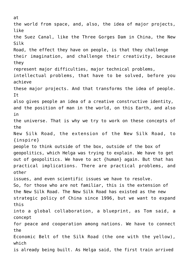at the world from space, and, also, the idea of major projects, like the Suez Canal, like the Three Gorges Dam in China, the New Silk Road, the effect they have on people, is that they challenge their imagination, and challenge their creativity, because they represent major difficulties, major technical problems, intellectual problems, that have to be solved, before you achieve these major projects. And that transforms the idea of people. It also gives people an idea of a creative constructive identity, and the position of man in the world, on this Earth, and also in the universe. That is why we try to work on these concepts of the New Silk Road, the extension of the New Silk Road, to {inspire} people to think outside of the box, outside of the box of geopolitics, which Helga was trying to explain. We have to get out of geopolitics. We have to act {human} again. But that has practical implications. There are practical problems, and other issues, and even scientific issues we have to resolve. So, for those who are not familiar, this is the extension of the New Silk Road. The New Silk Road has existed as the new strategic policy of China since 1996, but we want to expand this into a global collaboration, a blueprint, as Tom said, a concept for peace and cooperation among nations. We have to connect the Economic Belt of the Silk Road (the one with the yellow), which is already being built. As Helga said, the first train arrived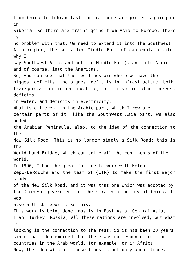from China to Tehran last month. There are projects going on in Siberia. So there are trains going from Asia to Europe. There is no problem with that. We need to extend it into the Southwest Asia region, the so-called Middle East (I can explain later why I say Southwest Asia, and not the Middle East), and into Africa, and of course, into the Americas. So, you can see that the red lines are where we have the biggest deficits, the biggest deficits in infrastructure, both transportation infrastructure, but also in other needs, deficits in water, and deficits in electricity. What is different in the Arabic part, which I rewrote certain parts of it, like the Southwest Asia part, we also added the Arabian Peninsula, also, to the idea of the connection to the New Silk Road. This is no longer simply a Silk Road; this is the World Land-Bridge, which can unite all the continents of the world. In 1996, I had the great fortune to work with Helga Zepp-LaRouche and the team of {EIR} to make the first major study of the New Silk Road, and it was that one which was adopted by the Chinese government as the strategic policy of China. It was also a thick report like this. This work is being done, mostly in East Asia, Central Asia, Iran, Turkey, Russia, all these nations are involved, but what is lacking is the connection to the rest. So it has been 20 years since that idea emerged, but there was no response from the countries in the Arab world, for example, or in Africa. Now, the idea with all these lines is not only about trade.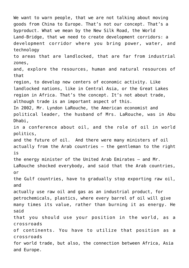We want to warn people, that we are not talking about moving goods from China to Europe. That's not our concept. That's a byproduct. What we mean by the New Silk Road, the World Land-Bridge, that we need to create development corridors: a development corridor where you bring power, water, and technology to areas that are landlocked, that are far from industrial zones, and, explore the resources, human and natural resources of that region, to develop new centers of economic activity. Like landlocked nations, like in Central Asia, or the Great Lakes region in Africa. That's the concept. It's not about trade, although trade is an important aspect of this. In 2002, Mr. Lyndon LaRouche, the American economist and political leader, the husband of Mrs. LaRouche, was in Abu Dhabi, in a conference about oil, and the role of oil in world politics, and the future of oil. And there were many ministers of oil actually from the Arab countries — the gentleman to the right is the energy minister of the United Arab Emirates — and Mr. LaRouche shocked everybody, and said that the Arab countries, or the Gulf countries, have to gradually stop exporting raw oil, and actually use raw oil and gas as an industrial product, for petrochemicals, plastics, where every barrel of oil will give many times its value, rather than burning it as energy. He said that you should use your position in the world, as a crossroads of continents. You have to utilize that position as a crossroads for world trade, but also, the connection between Africa, Asia and Europe.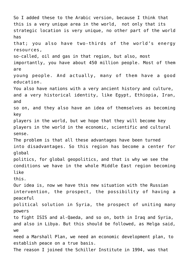So I added these to the Arabic version, because I think that this is a very unique area in the world, not only that its strategic location is very unique, no other part of the world has that; you also have two-thirds of the world's energy resources, so-called, oil and gas in that region, but also, most importantly, you have about 450 million people. Most of them are young people. And actually, many of them have a good education. You also have nations with a very ancient history and culture, and a very historical identity, like Egypt, Ethiopia, Iran, and so on, and they also have an idea of themselves as becoming key players in the world, but we hope that they will become key players in the world in the economic, scientific and cultural sense. The problem is that all these advantages have been turned into disadvantages. So this region has become a center for global politics, for global geopolitics, and that is why we see the conditions we have in the whole Middle East region becoming like this. Our idea is, now we have this new situation with the Russian intervention, the prospect, the possibility of having a peaceful political solution in Syria, the prospect of uniting many powers to fight ISIS and al-Qaeda, and so on, both in Iraq and Syria, and also in Libya. But this should be followed, as Helga said, we need a Marshall Plan, we need an economic development plan, to establish peace on a true basis. The reason I joined the Schiller Institute in 1994, was that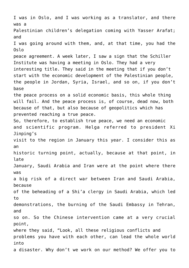I was in Oslo, and I was working as a translator, and there was a Palestinian children's delegation coming with Yasser Arafat; and I was going around with them, and, at that time, you had the Oslo peace agreement. A week later, I saw a sign that the Schiller Institute was having a meeting in Oslo. They had a very interesting title. They said in the meeting that if you don't start with the economic development of the Palestinian people, the people in Jordan, Syria, Israel, and so on, if you don't base the peace process on a solid economic basis, this whole thing will fail. And the peace process is, of course, dead now, both because of that, but also because of geopolitics which has prevented reaching a true peace. So, therefore, to establish true peace, we need an economic and scientific program. Helga referred to president Xi Jinping's visit to the region in January this year. I consider this as an historic turning point, actually, because at that point, in late January, Saudi Arabia and Iran were at the point where there was a big risk of a direct war between Iran and Saudi Arabia, because of the beheading of a Shi'a clergy in Saudi Arabia, which led to demonstrations, the burning of the Saudi Embassy in Tehran, and so on. So the Chinese intervention came at a very crucial point, where they said, "Look, all these religious conflicts and problems you have with each other, can lead the whole world into a disaster. Why don't we work on our method? We offer you to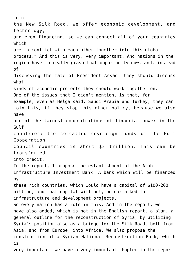join the New Silk Road. We offer economic development, and technology, and even financing, so we can connect all of your countries which are in conflict with each other together into this global process." And this is very, very important. And nations in the region have to really grasp that opportunity now, and, instead of discussing the fate of President Assad, they should discuss what kinds of economic projects they should work together on. One of the issues that I didn't mention, is that, for example, even as Helga said, Saudi Arabia and Turkey, they can join this, if they stop this other policy, because we also have one of the largest concentrations of financial power in the Gul f countries; the so-called sovereign funds of the Gulf Cooperation Council countries is about \$2 trillion. This can be transformed into credit. In the report, I propose the establishment of the Arab Infrastructure Investment Bank. A bank which will be financed by these rich countries, which would have a capital of \$100-200 billion, and that capital will only be earmarked for infrastructure and development projects. So every nation has a role in this. And in the report, we have also added, which is not in the English report, a plan, a general outline for the reconstruction of Syria, by utilizing Syria's position also as a bridge for the Silk Road, both from Asia, and from Europe, into Africa. We also propose the construction of a Syrian National Reconstruction Bank, which is very important. We have a very important chapter in the report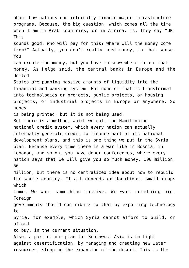about how nations can internally finance major infrastructure programs. Because, the big question, which comes all the time when I am in Arab countries, or in Africa, is, they say "OK. This sounds good. Who will pay for this? Where will the money come from?" Actually, you don't really need money, in that sense. You can create the money, but you have to know where to use that money. As Helga said, the central banks in Europe and the United States are pumping massive amounts of liquidity into the financial and banking system. But none of that is transformed into technologies or projects, public projects, or housing projects, or industrial projects in Europe or anywhere. So money is being printed, but it is not being used. But there is a method, which we call the Hamiltonian national credit system, which every nation can actually internally generate credit to finance part of its national development plans, and this is one thing we put in the Syria plan. Because every time there is a war like in Bosnia, in Lebanon, and so on, you have donor conferences, where every nation says that we will give you so much money, 100 million, 50 million, but there is no centralized idea about how to rebuild the whole country. It all depends on donations, small drops which come. We want something massive. We want something big. Foreign governments should contribute to that by exporting technology to Syria, for example, which Syria cannot afford to build, or afford to buy, in the current situation. Also, a part of our plan for Southwest Asia is to fight against desertification, by managing and creating new water resources, stopping the expansion of the desert. This is the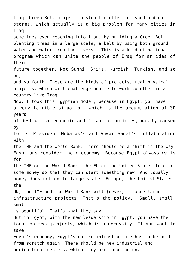Iraqi Green Belt project to stop the effect of sand and dust storms, which actually is a big problem for many cities in Iraq, sometimes even reaching into Iran, by building a Green Belt, planting trees in a large scale, a belt by using both ground water and water from the rivers. This is a kind of national program which can unite the people of Iraq for an idea of their future together. Not Sunni, Shi'a, Kurdish, Turkish, and so on, and so forth. These are the kinds of projects, real physical projects, which will challenge people to work together in a country like Iraq. Now, I took this Egyptian model, because in Egypt, you have a very terrible situation, which is the accumulation of 30 years of destructive economic and financial policies, mostly caused by former President Mubarak's and Anwar Sadat's collaboration with the IMF and the World Bank. There should be a shift in the way Egyptians consider their economy. Because Egypt always waits for the IMF or the World Bank, the EU or the United States to give some money so that they can start something new. And usually money does not go to large scale. Europe, the United States, the UN, the IMF and the World Bank will {never} finance large infrastructure projects. That's the policy. Small, small, small is beautiful. That's what they say. But in Egypt, with the new leadership in Egypt, you have the focus on mega-projects, which is a necessity. If you want to save Egypt's economy, Egypt's entire infrastructure has to be built from scratch again. There should be new industrial and agricultural centers, which they are focusing on.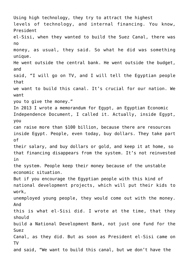Using high technology, they try to attract the highest levels of technology, and internal financing. You know, President el-Sisi, when they wanted to build the Suez Canal, there was no money, as usual, they said. So what he did was something unique. He went outside the central bank. He went outside the budget, and said, "I will go on TV, and I will tell the Egyptian people that we want to build this canal. It's crucial for our nation. We want you to give the money." In 2013 I wrote a memorandum for Egypt, an Egyptian Economic Independence Document, I called it. Actually, inside Egypt, you can raise more than \$100 billion, because there are resources inside Egypt. People, even today, buy dollars. They take part of their salary, and buy dollars or gold, and keep it at home, so that financing disappears from the system. It's not reinvested in the system. People keep their money because of the unstable economic situation. But if you encourage the Egyptian people with this kind of national development projects, which will put their kids to work, unemployed young people, they would come out with the money. And this is what el-Sisi did. I wrote at the time, that they should build a National Development Bank, not just one fund for the Suez Canal, as they did. But as soon as President el-Sisi came on TV and said, "We want to build this canal, but we don't have the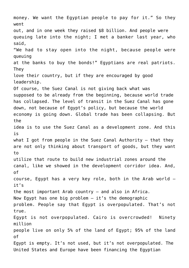money. We want the Egyptian people to pay for it." So they went out, and in one week they raised \$8 billion. And people were queuing late into the night; I met a banker last year, who said, "We had to stay open into the night, because people were queuing at the banks to buy the bonds!" Egyptians are real patriots. **They** love their country, but if they are encouraged by good leadership. Of course, the Suez Canal is not giving back what was supposed to be already from the beginning, because world trade has collapsed. The level of transit in the Suez Canal has gone down, not because of Egypt's policy, but because the world economy is going down. Global trade has been collapsing. But the idea is to use the Suez Canal as a development zone. And this is what I got from people in the Suez Canal Authority  $-$  that they are not only thinking about transport of goods, but they want to utilize that route to build new industrial zones around the canal, like we showed in the development corridor idea. And, of course, Egypt has a very key role, both in the Arab world it's the most important Arab country — and also in Africa. Now Egypt has one big problem  $-$  it's the demographic problem. People say that Egypt is overpopulated. That's not true. Egypt is not overpopulated. Cairo is overcrowded! Ninety million people live on only 5% of the land of Egypt; 95% of the land of Egypt is empty. It's not used, but it's not overpopulated. The United States and Europe have been financing the Egyptian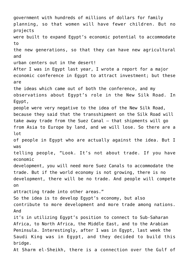government with hundreds of millions of dollars for family planning, so that women will have fewer children. But no projects were built to expand Egypt's economic potential to accommodate to the new generations, so that they can have new agricultural and urban centers out in the desert! After I was in Egypt last year, I wrote a report for a major economic conference in Egypt to attract investment; but these are the ideas which came out of both the conference, and my observations about Egypt's role in the New Silk Road. In Egypt, people were very negative to the idea of the New Silk Road, because they said that the transshipment on the Silk Road will take away trade from the Suez Canal — that shipments will go from Asia to Europe by land, and we will lose. So there are a lot of people in Egypt who are actually against the idea. But I was telling people, "Look. It's not about trade. If you have economic development, you will need more Suez Canals to accommodate the trade. But if the world economy is not growing, there is no development, there will be no trade. And people will compete on attracting trade into other areas." So the idea is to develop Egypt's economy, but also contribute to more development and more trade among nations. And it's in utilizing Egypt's position to connect to Sub-Saharan Africa, to North Africa, the Middle East, and to the Arabian Peninsula. Interestingly, after I was in Egypt, last week the Saudi King was in Egypt, and they decided to build this bridge. At Sharm el-Sheikh, there is a connection over the Gulf of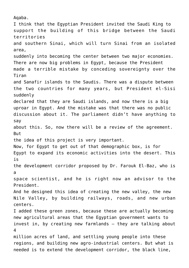Aqaba. I think that the Egyptian President invited the Saudi King to support the building of this bridge between the Saudi territories and southern Sinai, which will turn Sinai from an isolated area, suddenly into becoming the center between two major economies. There are now big problems in Egypt, because the President made a terrible mistake by conceding sovereignty over the Tiran and Sanafir islands to the Saudis. There was a dispute between the two countries for many years, but President el-Sisi suddenly declared that they are Saudi islands, and now there is a big uproar in Egypt. And the mistake was that there was no public discussion about it. The parliament didn't have anything to say about this. So, now there will be a review of the agreement. But the idea of this project is very important. Now, for Egypt to get out of that demographic box, is for Egypt to expand its economic activities into the desert. This is the development corridor proposed by Dr. Farouk El-Baz, who is a space scientist, and he is right now an advisor to the President. And he designed this idea of creating the new valley, the new Nile Valley, by building railways, roads, and new urban centers. I added these green zones, because these are actually becoming new agricultural areas that the Egyptian government wants to invest in, by creating new farmlands — they are talking about 4 million acres of land, and settling young people into these regions, and building new agro-industrial centers. But what is needed is to extend the development corridor, the black line,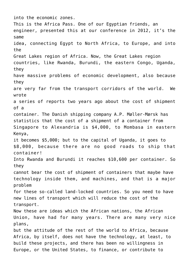into the economic zones. This is the Africa Pass. One of our Egyptian friends, an engineer, presented this at our conference in 2012, it's the same idea, connecting Egypt to North Africa, to Europe, and into the Great Lakes region of Africa. Now, the Great Lakes region countries, like Rwanda, Burundi, the eastern Congo, Uganda, they have massive problems of economic development, also because they are very far from the transport corridors of the world. We wrote a series of reports two years ago about the cost of shipment of a container. The Danish shipping company A.P. Møller-Mærsk has statistics that the cost of a shipment of a container from Singapore to Alexandria is \$4,000, to Mombasa in eastern Kenya, it becomes \$5,000; but to the capital of Uganda, it goes to \$8,000, because there are no good roads to ship that container! Into Rwanda and Burundi it reaches \$10,600 per container. So they cannot bear the cost of shipment of containers that maybe have technology inside them, and machines, and that is a major problem for these so-called land-locked countries. So you need to have new lines of transport which will reduce the cost of the transport. Now these are ideas which the African nations, the African Union, have had for many years. There are many very nice plans, but the attitude of the rest of the world to Africa, because Africa, by itself, does not have the technology, at least, to build these projects, and there has been no willingness in Europe, or the United States, to finance, or contribute to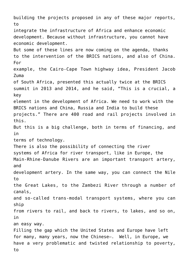building the projects proposed in any of these major reports, to integrate the infrastructure of Africa and enhance economic development. Because without infrastructure, you cannot have economic development. But some of these lines are now coming on the agenda, thanks to the intervention of the BRICS nations, and also of China. For example, the Cairo-Cape Town highway idea, President Jacob Zuma of South Africa, presented this actually twice at the BRICS summit in 2013 and 2014, and he said, "This is a crucial, a key element in the development of Africa. We need to work with the BRICS nations and China, Russia and India to build these projects." There are 400 road and rail projects involved in this. But this is a big challenge, both in terms of financing, and in terms of technology. There is also the possibility of connecting the river systems of Africa for river transport, like in Europe, the Main-Rhine-Danube Rivers are an important transport artery, and development artery. In the same way, you can connect the Nile to the Great Lakes, to the Zambezi River through a number of canals, and so-called trans-modal transport systems, where you can ship from rivers to rail, and back to rivers, to lakes, and so on, in an easy way. Filling the gap which the United States and Europe have left for many, many years, now the Chinese–. Well, in Europe, we have a very problematic and twisted relationship to poverty, to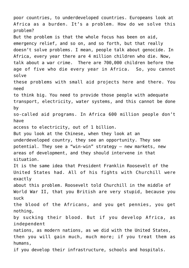poor countries, to underdeveloped countries. Europeans look at Africa as a burden. It's a problem. How do we solve this problem? But the problem is that the whole focus has been on aid, emergency relief, and so on, and so forth, but that really doesn't solve problems. I mean, people talk about genocide. In Africa, every year there are 4 million children who die. Now, talk about a war crime. There are 700,000 children before the age of five who die every year in Africa. So, you cannot solve these problems with small aid projects here and there. You need to think big. You need to provide those people with adequate transport, electricity, water systems, and this cannot be done by so-called aid programs. In Africa 600 million people don't have access to electricity, out of 1 billion. But you look at the Chinese, when they look at an underdeveloped country, they see an opportunity. They see potential. They see a "win-win" strategy — new markets, new areas of development, and they should intervene in that situation. It is the same idea that President Franklin Roosevelt of the United States had. All of his fights with Churchill were exactly about this problem. Roosevelt told Churchill in the middle of World War II, that you British are very stupid, because you suck the blood of the Africans, and you get pennies, you get nothing, by sucking their blood. But if you develop Africa, as independent nations, as modern nations, as we did with the United States, then you will gain much, much more; if you treat them as humans, if you develop their infrastructure, schools and hospitals.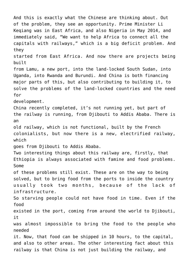And this is exactly what the Chinese are thinking about. Out of the problem, they see an opportunity. Prime Minister Li Keqiang was in East Africa, and also Nigeria in May 2014, and immediately said, "We want to help Africa to connect all the capitals with railways," which is a big deficit problem. And they started from East Africa. And now there are projects being built from Lamu, a new port, into the land-locked South Sudan, into Uganda, into Rwanda and Burundi. And China is both financing major parts of this, but also contributing to building it, to solve the problems of the land-locked countries and the need for development. China recently completed, it's not running yet, but part of the railway is running, from Djibouti to Addis Ababa. There is an old railway, which is not functional, built by the French colonialists, but now there is a new, electrified railway, which goes from Djibouti to Addis Ababa. Two interesting things about this railway are, firstly, that Ethiopia is always associated with famine and food problems. Some of these problems still exist. These are on the way to being solved, but to bring food from the ports to inside the country usually took two months, because of the lack of infrastructure. So starving people could not have food in time. Even if the food existed in the port, coming from around the world to Djibouti, it was almost impossible to bring the food to the people who needed it. Now, that food can be shipped in 10 hours, to the capital, and also to other areas. The other interesting fact about this railway is that China is not just building the railway, and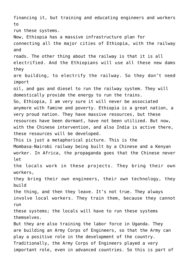financing it, but training and educating engineers and workers to run these systems. Now, Ethiopia has a massive infrastructure plan for connecting all the major cities of Ethiopia, with the railway and roads. The other thing about the railway is that it is all electrified. And the Ethiopians will use all these new dams they are building, to electrify the railway. So they don't need import oil, and gas and diesel to run the railway system. They will domestically provide the energy to run the trains. So, Ethiopia, I am very sure it will never be associated anymore with famine and poverty. Ethiopia is a great nation, a very proud nation. They have massive resources, but these resources have been dormant, have not been utilized. But now, with the Chinese intervention, and also India is active there, these resources will be developed. This is just a metaphorical picture. This is the Mombasa-Nairobi railway being built by a Chinese and a Kenyan worker. In Africa, the propaganda goes that the Chinese never let the locals work in these projects. They bring their own workers, they bring their own engineers, their own technology, they build the thing, and then they leave. It's not true. They always involve local workers. They train them, because they cannot run these systems; the locals will have to run these systems themselves. But they are also training the labor force in Uganda. They are building an Army Corps of Engineers, so that the Army can play a positive role in the development of the country. Traditionally, the Army Corps of Engineers played a very important role, even in advanced countries. So this is part of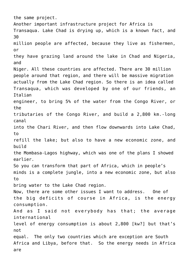the same project. Another important infrastructure project for Africa is Transaqua. Lake Chad is drying up, which is a known fact, and 30 million people are affected, because they live as fishermen, or they have grazing land around the lake in Chad and Nigeria, and Niger. All these countries are affected. There are 30 million people around that region, and there will be massive migration actually from the Lake Chad region. So there is an idea called Transaqua, which was developed by one of our friends, an Italian engineer, to bring 5% of the water from the Congo River, or the tributaries of the Congo River, and build a 2,800 km.-long canal into the Chari River, and then flow downwards into Lake Chad, to refill the lake; but also to have a new economic zone, and build the Mombasa-Lagos highway, which was one of the plans I showed earlier. So you can transform that part of Africa, which in people's minds is a complete jungle, into a new economic zone, but also to bring water to the Lake Chad region. Now, there are some other issues I want to address. One of the big deficits of course in Africa, is the energy consumption. And as I said not everybody has that; the average international level of energy consumption is about 2,800 [kw?] but that's not equal. The only two countries which are exception are South Africa and Libya, before that. So the energy needs in Africa are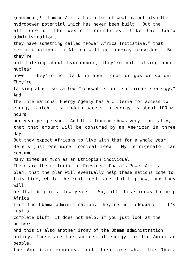{enormous}! I mean Africa has a lot of wealth, but also the hydropower potential which has never been built. But the attitude of the Western countries, like the Obama administration, they have something called "Power Africa Initiative," that certain nations in Africa will get energy provided. But they're not talking about hydropower, they're not talking about nuclear power, they're not talking about coal or gas or so on. They're talking about so-called "renewable" or "sustainable energy." And the International Energy Agency has a criteria for access to energy, which is a modern access to energy is about 100kwhours per year per person. And this diagram shows very ironically, that that amount will be consumed by an American in three days! But they expect Africans to live with that for a whole year! Here's just one more ironical idea: My refrigerator can consume many times as much as an Ethiopian individual. These are the criteria for President Obama's Power Africa plan, that the plan will eventually help these nations come to this line, while the real needs are that big now, and they will be that big in a few years. So, all these ideas to help Africa from the Obama administration, they're not adequate! It's just a complete bluff. It does not help, if you just look at the numbers. And this is also another irony of the Obama administration policy. These are the sources of energy for the American people, the American economy, and these are what the Obama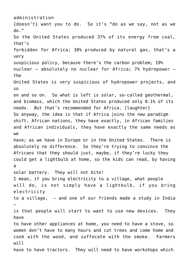administration {doesn't} want you to do. So it's "do as we say, not as we do." So the United States produced 37% of its energy from coal, that's forbidden for Africa; 30% produced by natural gas, that's a very suspicious policy, because there's the carbon problem; 19% nuclear — absolutely no nuclear for Africa; 7% hydropower the United States is very suspicious of hydropower projects, and so on and so on. So what is left is solar, so-called geothermal, and biomass, which the United States produced only 0.1% of its needs. But that's recommended for Africa. [laughter] So anyway, the idea is that if Africa joins the new paradigm shift, African nations, they have exactly, in African families and African individuals, they have exactly the same needs as we have; as we have in Europe or in the United States. There is absolutely no difference. So they're trying to convince the Africans that they should just, maybe, if they're lucky they could get a lightbulb at home, so the kids can read, by having a solar battery. They will not bite! I mean, if you bring electricity to a village, what people will do, is not simply have a lightbulb, if you bring electricity to a village, — and one of our friends made a study in India is that people will start to want to use new devices. They have to have other appliances at home, you need to have a stove, so women don't have to many hours and cut trees and come home and cook with the wood, and suffocate with the smoke. Farmers will have to have tractors. They will need to have workshops which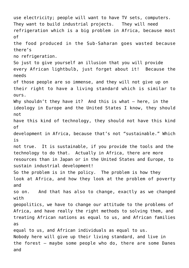use electricity; people will want to have TV sets, computers. They want to build industrial projects. They will need refrigeration which is a big problem in Africa, because most of the food produced in the Sub-Saharan goes wasted because there's no refrigeration. So just to give yourself an illusion that you will provide every African lightbulb, just forget about it! Because the needs of those people are so immense, and they will not give up on their right to have a living standard which is similar to ours. Why shouldn't they have it? And this is what — here, in the ideology in Europe and the United States I know, they should not have this kind of technology, they should not have this kind of development in Africa, because that's not "sustainable." Which is not true. It is sustainable, if you provide the tools and the technology to do that. Actually in Africa, there are more resources than in Japan or in the United States and Europe, to sustain industrial development! So the problem is in the policy. The problem is how they look at Africa, and how they look at the problem of poverty and so on. And that has also to change, exactly as we changed with geopolitics, we have to change our attitude to the problems of Africa, and have really the right methods to solving them, and treating African nations as equal to us, and African families as equal to us, and African individuals as equal to us. Nobody here will give up their living standard, and live in the forest — maybe some people who do, there are some Danes and